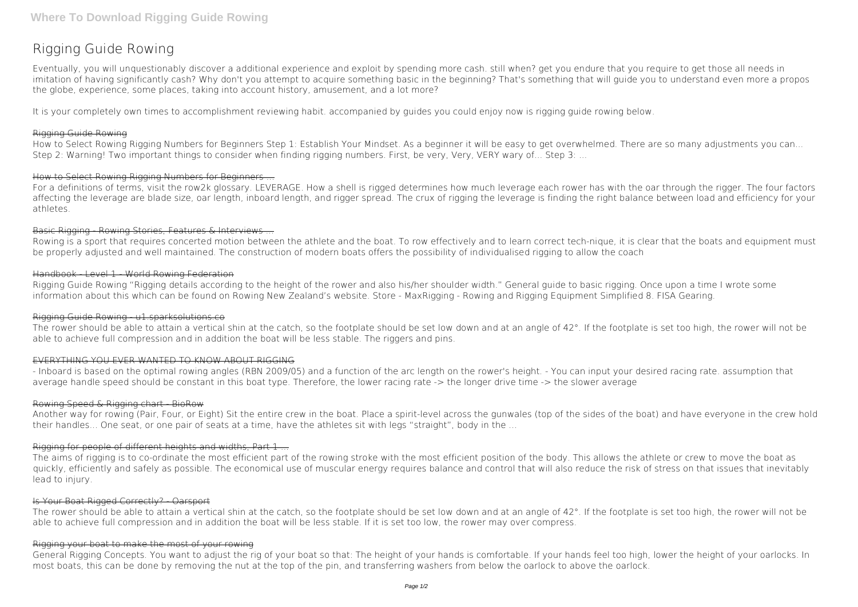# **Rigging Guide Rowing**

Eventually, you will unquestionably discover a additional experience and exploit by spending more cash. still when? get you endure that you require to get those all needs in imitation of having significantly cash? Why don't you attempt to acquire something basic in the beginning? That's something that will guide you to understand even more a propos the globe, experience, some places, taking into account history, amusement, and a lot more?

It is your completely own times to accomplishment reviewing habit. accompanied by guides you could enjoy now is **rigging guide rowing** below.

## Rigging Guide Rowing

How to Select Rowing Rigging Numbers for Beginners Step 1: Establish Your Mindset. As a beginner it will be easy to get overwhelmed. There are so many adjustments you can... Step 2: Warning! Two important things to consider when finding rigging numbers. First, be very, Very, VERY wary of... Step 3: ...

## How to Select Rowing Rigging Numbers for Beginners ...

For a definitions of terms, visit the row2k glossary. LEVERAGE. How a shell is rigged determines how much leverage each rower has with the oar through the rigger. The four factors affecting the leverage are blade size, oar length, inboard length, and rigger spread. The crux of rigging the leverage is finding the right balance between load and efficiency for your athletes.

## Basic Rigging - Rowing Stories, Features & Interviews ...

Rowing is a sport that requires concerted motion between the athlete and the boat. To row effectively and to learn correct tech-nique, it is clear that the boats and equipment must be properly adjusted and well maintained. The construction of modern boats offers the possibility of individualised rigging to allow the coach

## Handbook - Level 1 - World Rowing Federation

The aims of rigging is to co-ordinate the most efficient part of the rowing stroke with the most efficient position of the body. This allows the athlete or crew to move the boat as quickly, efficiently and safely as possible. The economical use of muscular energy requires balance and control that will also reduce the risk of stress on that issues that inevitably lead to injury.

# Is Your Boat Rigged Correctly? Oarsport

Rigging Guide Rowing "Rigging details according to the height of the rower and also his/her shoulder width." General guide to basic rigging. Once upon a time I wrote some information about this which can be found on Rowing New Zealand's website. Store - MaxRigging - Rowing and Rigging Equipment Simplified 8. FISA Gearing.

The rower should be able to attain a vertical shin at the catch, so the footplate should be set low down and at an angle of 42°. If the footplate is set too high, the rower will not be able to achieve full compression and in addition the boat will be less stable. If it is set too low, the rower may over compress.

### Rigging Guide Rowing - u1.sparksolutions.co

The rower should be able to attain a vertical shin at the catch, so the footplate should be set low down and at an angle of 42°. If the footplate is set too high, the rower will not be able to achieve full compression and in addition the boat will be less stable. The riggers and pins.

## EVERYTHING YOU EVER WANTED TO KNOW ABOUT RIGGING

- Inboard is based on the optimal rowing angles (RBN 2009/05) and a function of the arc length on the rower's height. - You can input your desired racing rate. assumption that average handle speed should be constant in this boat type. Therefore, the lower racing rate -> the longer drive time -> the slower average

### Rowing Speed & Rigging chart - BioRow

Another way for rowing (Pair, Four, or Eight) Sit the entire crew in the boat. Place a spirit-level across the gunwales (top of the sides of the boat) and have everyone in the crew hold their handles... One seat, or one pair of seats at a time, have the athletes sit with legs "straight", body in the ...

# Rigging for people of different heights and widths, Part 1 ...

### Rigging your boat to make the most of your rowing

General Rigging Concepts. You want to adjust the rig of your boat so that: The height of your hands is comfortable. If your hands feel too high, lower the height of your oarlocks. In most boats, this can be done by removing the nut at the top of the pin, and transferring washers from below the oarlock to above the oarlock.